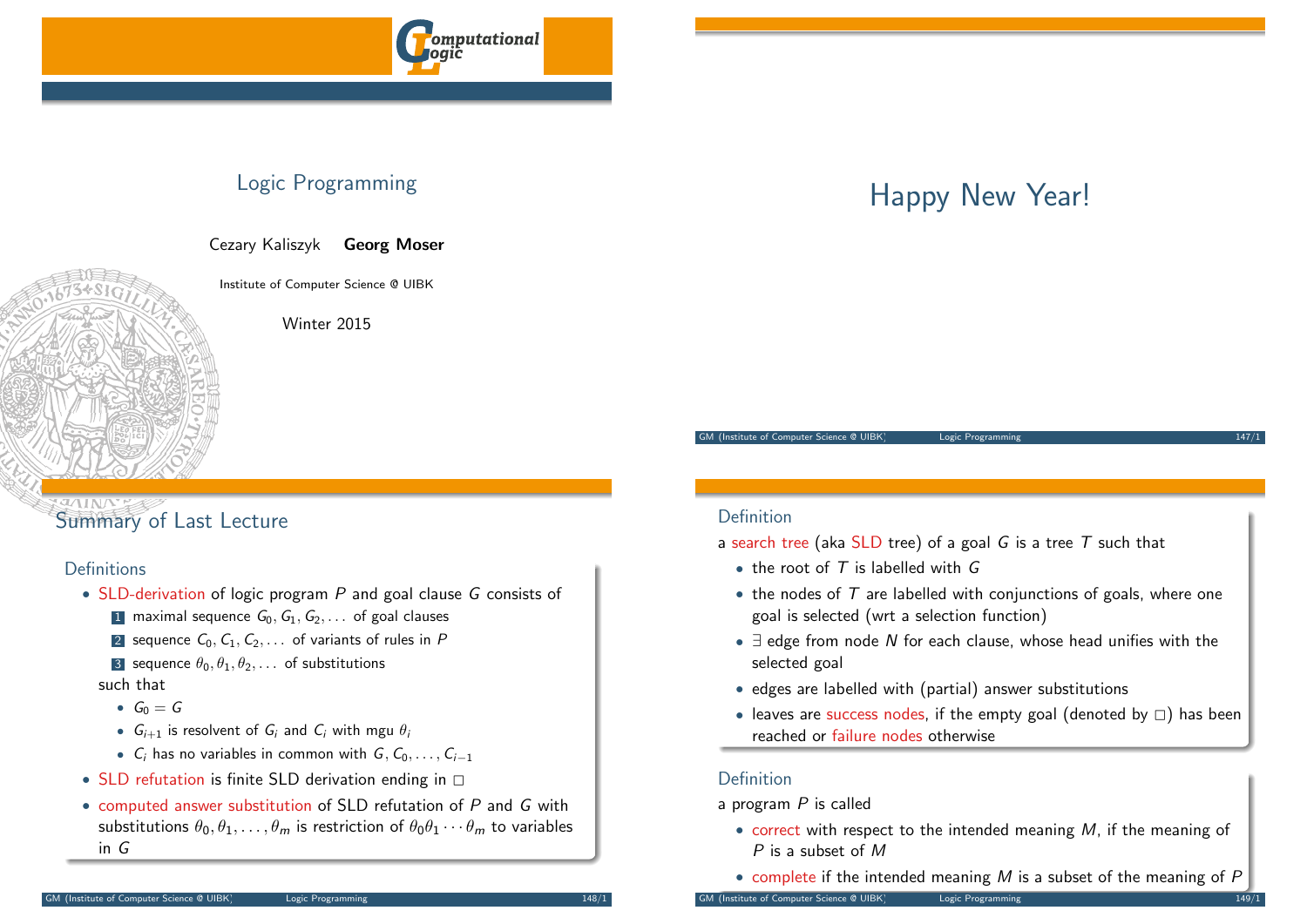

## Logic Programming

Cezary Kaliszyk Georg Moser

Institute of Computer Science @ UIBK

Winter 2015

## Summary of Last Lecture

### **Definitions**

- SLD-derivation of logic program P and goal clause G consists of
	- 1 maximal sequence  $G_0, G_1, G_2, \ldots$  of goal clauses
	- 2 sequence  $C_0, C_1, C_2, \ldots$  of variants of rules in P
	- 3 sequence  $\theta_0, \theta_1, \theta_2, \dots$  of substitutions

such that

- $G_0 = G$
- $G_{i+1}$  is resolvent of  $G_i$  and  $C_i$  with mgu  $\theta_i$
- $C_i$  has no variables in common with  $G, C_0, \ldots, C_{i-1}$
- SLD refutation is finite SLD derivation ending in  $\square$
- computed answer substitution of SLD refutation of P and G with substitutions  $\theta_0, \theta_1, \ldots, \theta_m$  is restriction of  $\theta_0 \theta_1 \cdots \theta_m$  to variables in G

# Happy New Year!

GM (Institute of Computer Science @ UIBK) Logic Programming

### Definition

a search tree (aka SLD tree) of a goal  $G$  is a tree  $T$  such that

- $\bullet$  the root of  $T$  is labelled with  $G$
- $\bullet$  the nodes of  $T$  are labelled with conjunctions of goals, where one goal is selected (wrt a selection function)
- $\exists$  edge from node N for each clause, whose head unifies with the selected goal
- edges are labelled with (partial) answer substitutions
- leaves are success nodes, if the empty goal (denoted by  $\Box$ ) has been reached or failure nodes otherwise

### Definition

a program  $P$  is called

- correct with respect to the intended meaning  $M$ , if the meaning of P is a subset of M
- complete if the intended meaning  $M$  is a subset of the meaning of  $P$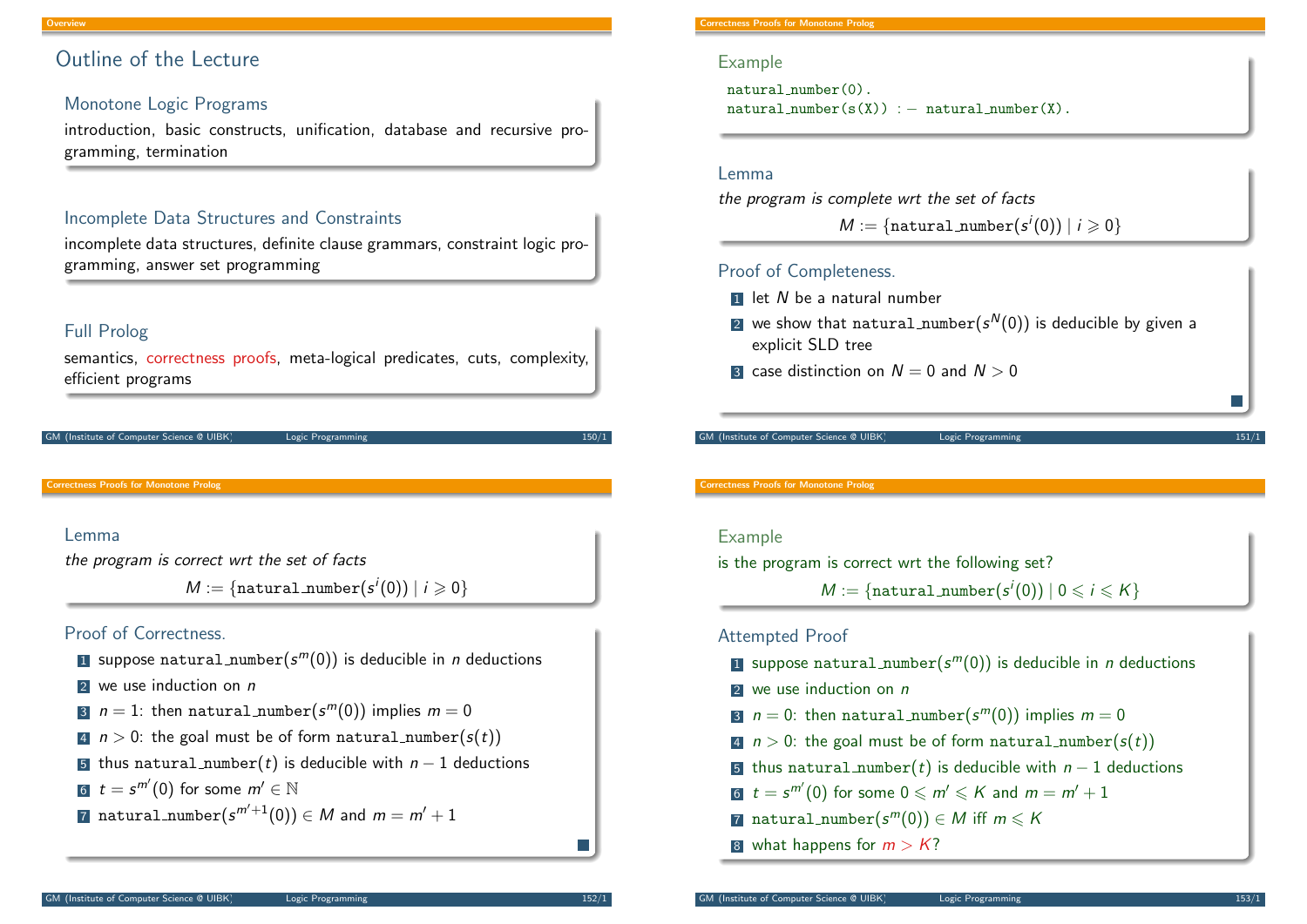### Outline of the Lecture

### Monotone Logic Programs

introduction, basic constructs, unification, database and recursive programming, termination

### Incomplete Data Structures and Constraints

incomplete data structures, definite clause grammars, constraint logic programming, answer set programming

### Full Prolog

semantics, correctness proofs, meta-logical predicates, cuts, complexity, efficient programs

(Institute of Computer Science @ UIBK) Logic Programming

<span id="page-1-0"></span>Correctness Proofs for Monotone Prolog

#### Lemma

the program is correct wrt the set of facts

 $M := \{$ natural\_number $(s^{i}(0)) \mid i \geqslant 0\}$ 

### Proof of Correctness.

- $\blacksquare$  suppose natural\_number $(\varepsilon^m(0))$  is deducible in  $n$  deductions
- $2$  we use induction on  $n$
- 3  $n=1$ : then  $\texttt{natural_number}(\mathcal{s}^m(0))$  implies  $m=0$
- 4  $n > 0$ : the goal must be of form natural number(s(t))
- 5 thus natural number(t) is deducible with  $n-1$  deductions
- 6  $t = s^{m'}(0)$  for some  $m' \in \mathbb{N}$
- $\overline{\sigma}$  natural number $(s^{m'+1}(0))\in M$  and  $m=m'+1$

#### Example

natural number(0).  $natural_number(s(X)) := natural_number(X)$ .

#### Lemma

the program is complete wrt the set of facts

 $M := \{\texttt{natural_number}(s^i(0)) \mid i \geqslant 0\}$ 

### Proof of Completeness.

- $\blacksquare$  let N be a natural number
- $\mathsf{2}$  we show that  $\texttt{natural\_number}(s^{\mathsf{N}}(0))$  is deducible by given a explicit SLD tree
- 3 case distinction on  $N = 0$  and  $N > 0$

(Institute of Computer Science @ UIBK) Logic Programming

#### Correctness Proofs for Monotone Prolog

#### Example

is the program is correct wrt the following set?

 $M := \{\texttt{natural\_number}(s^i(0)) \mid 0 \leqslant i \leqslant K\}$ 

### Attempted Proof

- $\blacksquare$  suppose natural\_number $(s^m(0))$  is deducible in  $n$  deductions
- $2$  we use induction on  $n$
- 3  $n = 0$ : then natural number $(s^m(0))$  implies  $m = 0$
- 4  $n > 0$ : the goal must be of form natural number( $s(t)$ )
- 5 thus natural number(t) is deducible with  $n-1$  deductions
- $6\,$   $\,t=s^{m^{\prime}}(0)$  for some  $0\leqslant m^{\prime}\leqslant K$  and  $m=m^{\prime}+1$
- 7 natural\_number $(s^m(0)) \in M$  iff  $m \leqslant K$
- 8 what happens for  $m > K$ ?

**I**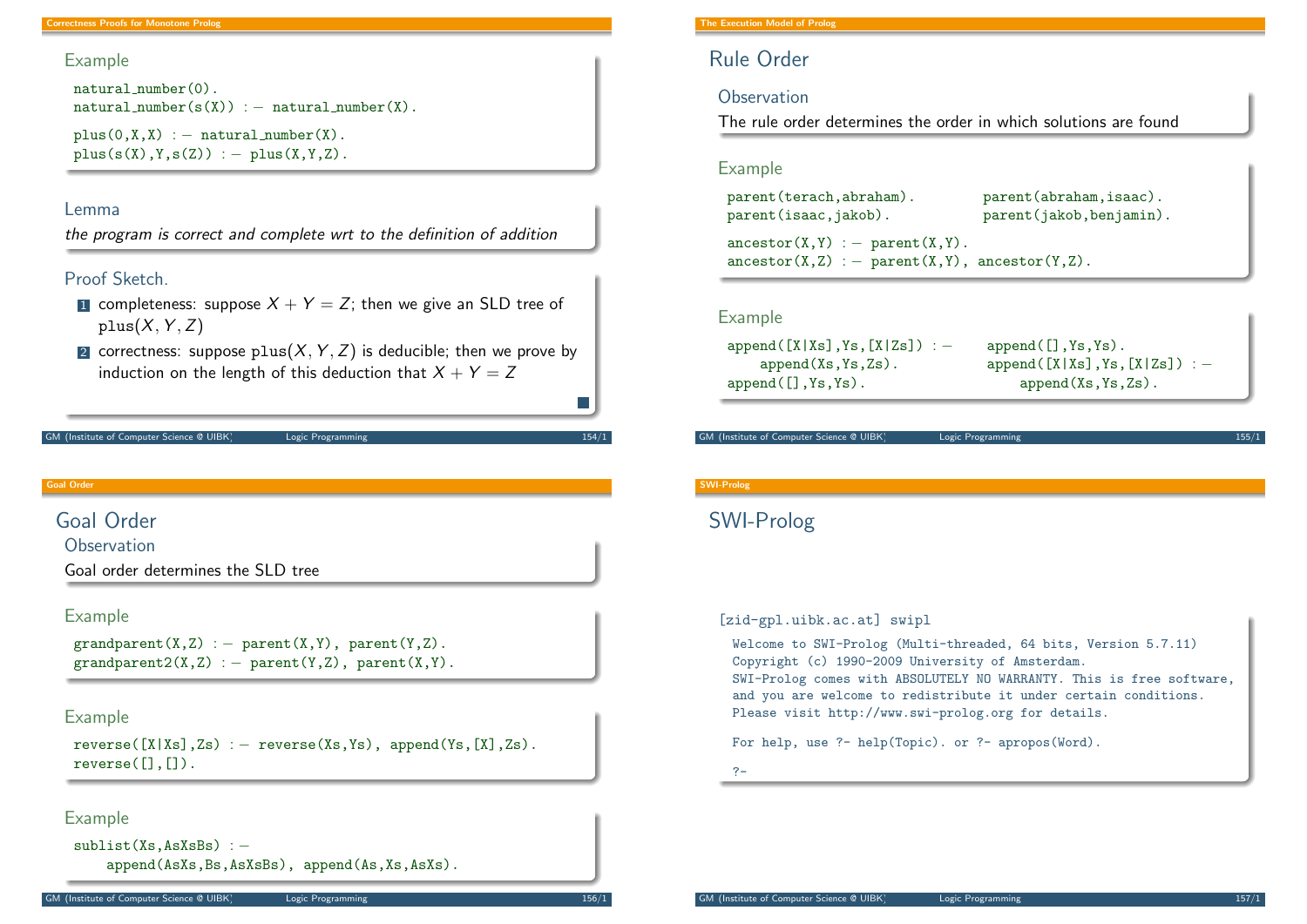### Example

```
natural number(0).
natural_number(s(X)) := natural_number(X).
```
 $plus(0,X,X) := natural_number(X)$ .  $plus(s(X),Y,s(Z)) := plus(X,Y,Z)$ .

#### Lemma

the program is correct and complete wrt to the definition of addition

#### Proof Sketch.

- **1** completeness: suppose  $X + Y = Z$ ; then we give an SLD tree of  $plus(X, Y, Z)$
- 2 correctness: suppose plus $(X, Y, Z)$  is deducible; then we prove by induction on the length of this deduction that  $X + Y = Z$

```
GM (Institute of Computer Science @ UIBK) Logic Programming 154/1
```
Goal Order

### <span id="page-2-0"></span>[Goal Order](#page-1-0)

**Observation** 

Goal order determines the SLD tree

#### Example

 $grandparent(X,Z) := parent(X,Y)$ , parent $(Y,Z)$ .  $grandparent2(X,Z) := parent(Y,Z)$ , parent $(X,Y)$ .

#### Example

 $reverse([X|Xs],Zs) := reverse(Xs,Ys), append(Ys,[X],Zs).$ reverse $([], [])$ .

### Example

```
sublist(Xs, AsXsBs) : −
    append(AsXs,Bs,AsXsBs), append(As,Xs,AsXs).
```
#### The Execution Model of Prolog

### Rule Order

#### **Observation**

The rule order determines the order in which solutions are found

#### Example

parent(terach,abraham). parent(abraham,isaac). parent(isaac,jakob). parent(jakob,benjamin).  $\text{arcestor}(X,Y) := \text{parent}(X,Y)$ .  $\text{ancestor}(X, Z) := \text{parent}(X, Y)$ ,  $\text{ancestor}(Y, Z)$ .

#### Example

```
append([X|Xs],Ys,[X|Zs]) : - append([], Ys, Ys).
append(Xs,Ys,Zs). append([X|Xs],Ys,[X|Zs]): - append(Xs,Ys,Zs).
```
append(Xs.Ys.Zs).

```
GM (Institute of Computer Science @ UIBK) Logic Programming
```
#### SWI-Prolog

### SWI-Prolog

#### [zid-gpl.uibk.ac.at] swipl

Welcome to SWI-Prolog (Multi-threaded, 64 bits, Version 5.7.11) Copyright (c) 1990-2009 University of Amsterdam. SWI-Prolog comes with ABSOLUTELY NO WARRANTY. This is free software, and you are welcome to redistribute it under certain conditions. Please visit http://www.swi-prolog.org for details.

For help, use ?- help(Topic). or ?- apropos(Word).

?-

T.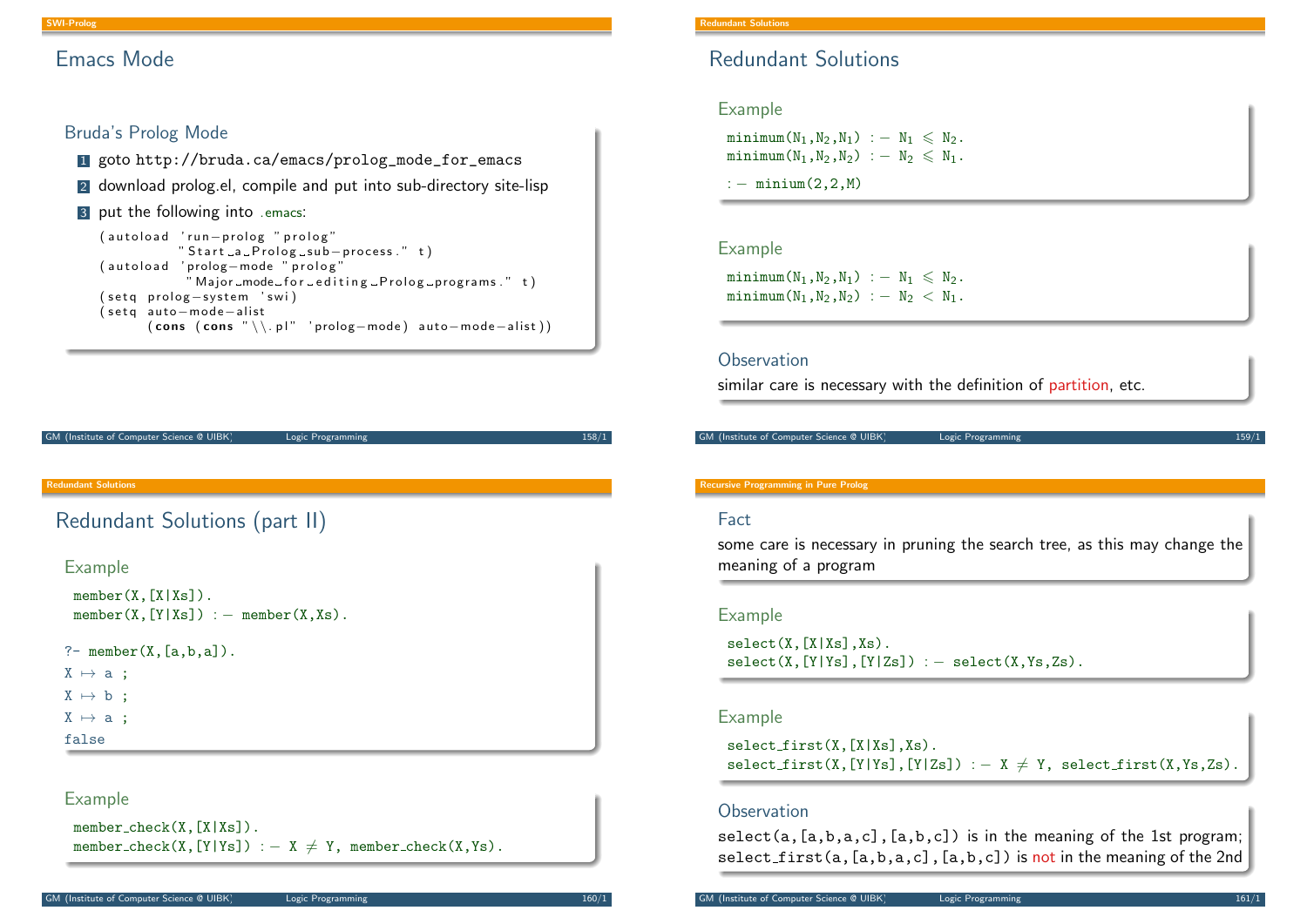### Emacs Mode

### Bruda's Prolog Mode

- <sup>1</sup> goto http://bruda.ca/emacs/prolog\_mode\_for\_emacs
- 2 download prolog.el, compile and put into sub-directory site-lisp

#### 3 put the following into .emacs:

```
( autoload 'run-prolog " prolog"
           " Start a Prolog sub-process." t)
(autoload 'prolog-mode "prolog"
            " Major_mode_for_editing_Prolog_programs." t)
( set q prolog - system 'swi)
(setg auto-mode-alist
      (cons (cons " \ \rangle, pl" 'prolog-mode) auto-mode–alist) )
```
GM (Institute of Computer Science @ UIBK) Logic Programming 158/1

#### Redundant Solutions

### <span id="page-3-0"></span>[Redundant S](#page-3-0)olutions (part II)

#### Example

```
member(X, [X|Xs]).
 member(X, [Y|Xs]) := member(X,Xs).
?- member(X, [a,b,a]).
X \mapsto a ;
```
 $X \mapsto b$  :

 $X \mapsto a$ :

false

### Example

```
member_check(X,[X|Xs]).
member_check(X,[Y|Ys]) : - X \neq Y, member_check(X,Ys).
```
### Redundant Solutions

### Example

minimum $(N_1, N_2, N_1)$  :  $- N_1 \le N_2$ .  $minim(N_1,N_2,N_2)$  :  $- N_2 \le N_1$ .

:  $-$  minium $(2, 2, M)$ 

### Example

 $minimum(N_1,N_2,N_1)$  :  $-N_1 \leq N_2$ .  $minimum(N_1,N_2,N_2)$  :  $- N_2 < N_1$ .

#### **Observation**

similar care is necessary with the definition of partition, etc.

```
GM (Institute of Computer Science @ UIBK) Logic Programming
```
#### Recursive Programming in Pure Prolog

#### Fact

some care is necessary in pruning the search tree, as this may change the meaning of a program

#### Example

 $select(X, [X|Xs], Xs)$ .  $select(X, [Y|Ys], [Y|Zs]) := select(X, Ys, Zs)$ .

#### Example

 $select_first(X,[X|Xs],Xs)$ .  $select\_first(X, [Y|Ys], [Y|Zs]) :- X \neq Y$ ,  $select\_first(X, Ys, Zs)$ .

#### **Observation**

select(a, $[a,b,a,c]$ , $[a,b,c]$ ) is in the meaning of the 1st program; select first(a, [a,b,a,c], [a,b,c]) is not in the meaning of the 2nd